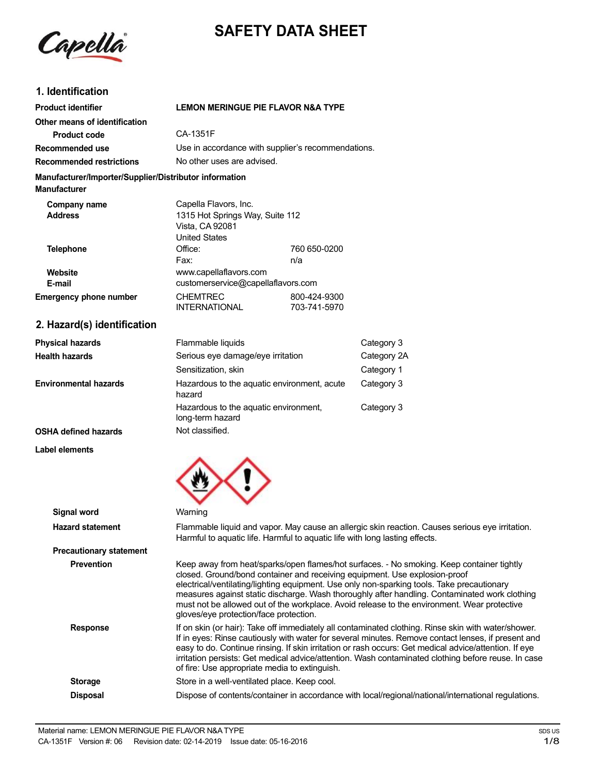



# **1. Identification**

| <b>Product identifier</b>                                                     | <b>LEMON MERINGUE PIE FLAVOR N&amp;A TYPE</b>                                                |                              |
|-------------------------------------------------------------------------------|----------------------------------------------------------------------------------------------|------------------------------|
| Other means of identification<br><b>Product code</b>                          | CA-1351F                                                                                     |                              |
|                                                                               |                                                                                              |                              |
| Recommended use                                                               | Use in accordance with supplier's recommendations.                                           |                              |
| <b>Recommended restrictions</b>                                               | No other uses are advised.                                                                   |                              |
| Manufacturer/Importer/Supplier/Distributor information<br><b>Manufacturer</b> |                                                                                              |                              |
| Company name<br><b>Address</b>                                                | Capella Flavors, Inc.<br>1315 Hot Springs Way, Suite 112<br>Vista, CA 92081<br>United States |                              |
| <b>Telephone</b>                                                              | Office:<br>Fax:                                                                              | 760 650-0200<br>n/a          |
| Website<br>E-mail                                                             | www.capellaflavors.com<br>customerservice@capellaflavors.com                                 |                              |
| <b>Emergency phone number</b>                                                 | <b>CHEMTREC</b><br><b>INTERNATIONAL</b>                                                      | 800-424-9300<br>703-741-5970 |
| 2. Hazard(s) identification                                                   |                                                                                              |                              |

| <b>Physical hazards</b>      | Flammable liquids                                         | Category 3  |
|------------------------------|-----------------------------------------------------------|-------------|
| <b>Health hazards</b>        | Serious eye damage/eye irritation                         | Category 2A |
|                              | Sensitization, skin                                       | Category 1  |
| <b>Environmental hazards</b> | Hazardous to the aquatic environment, acute<br>hazard     | Category 3  |
|                              | Hazardous to the aquatic environment,<br>long-term hazard | Category 3  |
| OSHA defined hazards         | Not classified.                                           |             |

**Label elements**

| u vww.com                      |                                                                                                                                                                                                                                                                                                                                                                                                                                                                                                                 |
|--------------------------------|-----------------------------------------------------------------------------------------------------------------------------------------------------------------------------------------------------------------------------------------------------------------------------------------------------------------------------------------------------------------------------------------------------------------------------------------------------------------------------------------------------------------|
|                                |                                                                                                                                                                                                                                                                                                                                                                                                                                                                                                                 |
| <b>Signal word</b>             | Warning                                                                                                                                                                                                                                                                                                                                                                                                                                                                                                         |
| <b>Hazard statement</b>        | Flammable liquid and vapor. May cause an allergic skin reaction. Causes serious eye irritation.<br>Harmful to aquatic life. Harmful to aquatic life with long lasting effects.                                                                                                                                                                                                                                                                                                                                  |
| <b>Precautionary statement</b> |                                                                                                                                                                                                                                                                                                                                                                                                                                                                                                                 |
| <b>Prevention</b>              | Keep away from heat/sparks/open flames/hot surfaces. - No smoking. Keep container tightly<br>closed. Ground/bond container and receiving equipment. Use explosion-proof<br>electrical/ventilating/lighting equipment. Use only non-sparking tools. Take precautionary<br>measures against static discharge. Wash thoroughly after handling. Contaminated work clothing<br>must not be allowed out of the workplace. Avoid release to the environment. Wear protective<br>gloves/eye protection/face protection. |
| <b>Response</b>                | If on skin (or hair): Take off immediately all contaminated clothing. Rinse skin with water/shower.<br>If in eyes: Rinse cautiously with water for several minutes. Remove contact lenses, if present and<br>easy to do. Continue rinsing. If skin irritation or rash occurs: Get medical advice/attention. If eye<br>irritation persists: Get medical advice/attention. Wash contaminated clothing before reuse. In case<br>of fire: Use appropriate media to extinguish.                                      |
| <b>Storage</b>                 | Store in a well-ventilated place. Keep cool.                                                                                                                                                                                                                                                                                                                                                                                                                                                                    |
| <b>Disposal</b>                | Dispose of contents/container in accordance with local/regional/national/international regulations.                                                                                                                                                                                                                                                                                                                                                                                                             |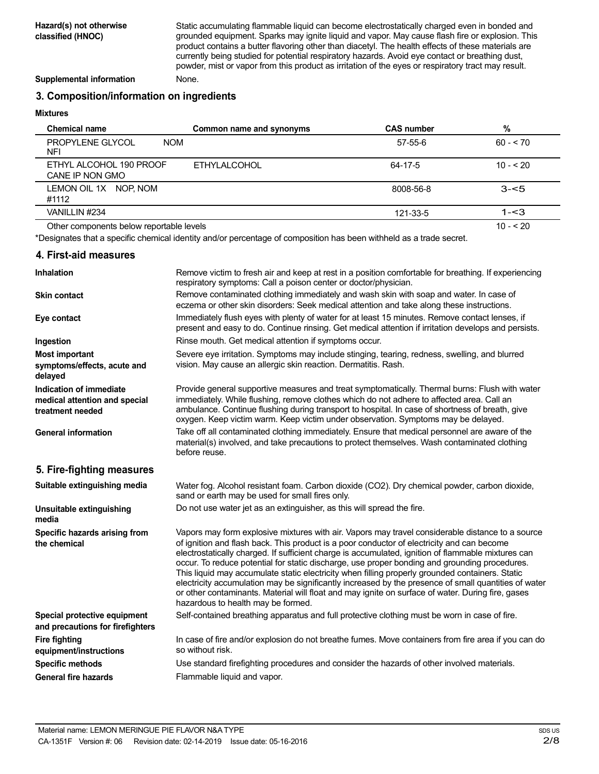Static accumulating flammable liquid can become electrostatically charged even in bonded and grounded equipment. Sparks may ignite liquid and vapor. May cause flash fire or explosion. This product contains a butter flavoring other than diacetyl. The health effects of these materials are currently being studied for potential respiratory hazards. Avoid eye contact or breathing dust, powder, mist or vapor from this product as irritation of the eyes or respiratory tract may result.

**Supplemental information** None.

## **3. Composition/information on ingredients**

#### **Mixtures**

| <b>Chemical name</b>                       | Common name and synonyms | <b>CAS number</b> | %          |
|--------------------------------------------|--------------------------|-------------------|------------|
| PROPYLENE GLYCOL<br><b>NOM</b><br>NFI      |                          | 57-55-6           | $60 - 70$  |
| ETHYL ALCOHOL 190 PROOF<br>CANE IP NON GMO | <b>ETHYLALCOHOL</b>      | 64-17-5           | $10 - 20$  |
| LEMON OIL 1X NOP, NOM<br>#1112             |                          | 8008-56-8         | $3 - 5$    |
| VANILLIN #234                              |                          | 121-33-5          | $1 - 3$    |
| Other components below reportable levels   |                          |                   | $10 - 520$ |

Other components below reportable levels

\*Designates that a specific chemical identity and/or percentage of composition has been withheld as a trade secret.

### **4. First-aid measures**

| Inhalation                                                                   | Remove victim to fresh air and keep at rest in a position comfortable for breathing. If experiencing<br>respiratory symptoms: Call a poison center or doctor/physician.                                                                                                                                                                                                                                                                                                                                                                                                                                                                                                                                                                                     |
|------------------------------------------------------------------------------|-------------------------------------------------------------------------------------------------------------------------------------------------------------------------------------------------------------------------------------------------------------------------------------------------------------------------------------------------------------------------------------------------------------------------------------------------------------------------------------------------------------------------------------------------------------------------------------------------------------------------------------------------------------------------------------------------------------------------------------------------------------|
| <b>Skin contact</b>                                                          | Remove contaminated clothing immediately and wash skin with soap and water. In case of<br>eczema or other skin disorders: Seek medical attention and take along these instructions.                                                                                                                                                                                                                                                                                                                                                                                                                                                                                                                                                                         |
| Eye contact                                                                  | Immediately flush eyes with plenty of water for at least 15 minutes. Remove contact lenses, if<br>present and easy to do. Continue rinsing. Get medical attention if irritation develops and persists.                                                                                                                                                                                                                                                                                                                                                                                                                                                                                                                                                      |
| Ingestion                                                                    | Rinse mouth. Get medical attention if symptoms occur.                                                                                                                                                                                                                                                                                                                                                                                                                                                                                                                                                                                                                                                                                                       |
| <b>Most important</b><br>symptoms/effects, acute and<br>delayed              | Severe eye irritation. Symptoms may include stinging, tearing, redness, swelling, and blurred<br>vision. May cause an allergic skin reaction. Dermatitis. Rash.                                                                                                                                                                                                                                                                                                                                                                                                                                                                                                                                                                                             |
| Indication of immediate<br>medical attention and special<br>treatment needed | Provide general supportive measures and treat symptomatically. Thermal burns: Flush with water<br>immediately. While flushing, remove clothes which do not adhere to affected area. Call an<br>ambulance. Continue flushing during transport to hospital. In case of shortness of breath, give<br>oxygen. Keep victim warm. Keep victim under observation. Symptoms may be delayed.                                                                                                                                                                                                                                                                                                                                                                         |
| <b>General information</b>                                                   | Take off all contaminated clothing immediately. Ensure that medical personnel are aware of the<br>material(s) involved, and take precautions to protect themselves. Wash contaminated clothing<br>before reuse.                                                                                                                                                                                                                                                                                                                                                                                                                                                                                                                                             |
| 5. Fire-fighting measures                                                    |                                                                                                                                                                                                                                                                                                                                                                                                                                                                                                                                                                                                                                                                                                                                                             |
| Suitable extinguishing media                                                 | Water fog. Alcohol resistant foam. Carbon dioxide (CO2). Dry chemical powder, carbon dioxide,<br>sand or earth may be used for small fires only.                                                                                                                                                                                                                                                                                                                                                                                                                                                                                                                                                                                                            |
| Unsuitable extinguishing<br>media                                            | Do not use water jet as an extinguisher, as this will spread the fire.                                                                                                                                                                                                                                                                                                                                                                                                                                                                                                                                                                                                                                                                                      |
| Specific hazards arising from<br>the chemical                                | Vapors may form explosive mixtures with air. Vapors may travel considerable distance to a source<br>of ignition and flash back. This product is a poor conductor of electricity and can become<br>electrostatically charged. If sufficient charge is accumulated, ignition of flammable mixtures can<br>occur. To reduce potential for static discharge, use proper bonding and grounding procedures.<br>This liquid may accumulate static electricity when filling properly grounded containers. Static<br>electricity accumulation may be significantly increased by the presence of small quantities of water<br>or other contaminants. Material will float and may ignite on surface of water. During fire, gases<br>hazardous to health may be formed. |
| Special protective equipment<br>and precautions for firefighters             | Self-contained breathing apparatus and full protective clothing must be worn in case of fire.                                                                                                                                                                                                                                                                                                                                                                                                                                                                                                                                                                                                                                                               |
| <b>Fire fighting</b><br>equipment/instructions                               | In case of fire and/or explosion do not breathe fumes. Move containers from fire area if you can do<br>so without risk.                                                                                                                                                                                                                                                                                                                                                                                                                                                                                                                                                                                                                                     |
| <b>Specific methods</b>                                                      | Use standard firefighting procedures and consider the hazards of other involved materials.                                                                                                                                                                                                                                                                                                                                                                                                                                                                                                                                                                                                                                                                  |
| <b>General fire hazards</b>                                                  | Flammable liquid and vapor.                                                                                                                                                                                                                                                                                                                                                                                                                                                                                                                                                                                                                                                                                                                                 |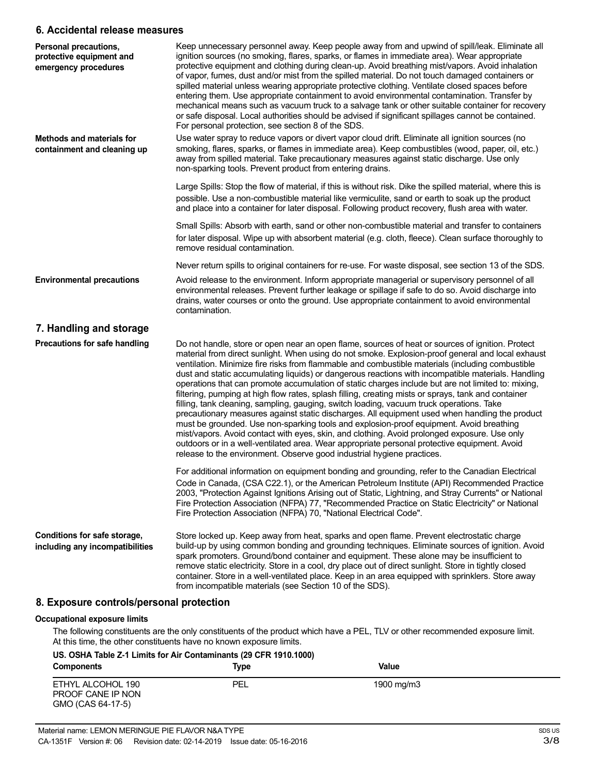### **6. Accidental release measures**

| Personal precautions,<br>protective equipment and<br>emergency procedures | Keep unnecessary personnel away. Keep people away from and upwind of spill/leak. Eliminate all<br>ignition sources (no smoking, flares, sparks, or flames in immediate area). Wear appropriate<br>protective equipment and clothing during clean-up. Avoid breathing mist/vapors. Avoid inhalation<br>of vapor, fumes, dust and/or mist from the spilled material. Do not touch damaged containers or<br>spilled material unless wearing appropriate protective clothing. Ventilate closed spaces before<br>entering them. Use appropriate containment to avoid environmental contamination. Transfer by<br>mechanical means such as vacuum truck to a salvage tank or other suitable container for recovery<br>or safe disposal. Local authorities should be advised if significant spillages cannot be contained.<br>For personal protection, see section 8 of the SDS.                                                                                                                                                                                                                                                                                                                       |
|---------------------------------------------------------------------------|-------------------------------------------------------------------------------------------------------------------------------------------------------------------------------------------------------------------------------------------------------------------------------------------------------------------------------------------------------------------------------------------------------------------------------------------------------------------------------------------------------------------------------------------------------------------------------------------------------------------------------------------------------------------------------------------------------------------------------------------------------------------------------------------------------------------------------------------------------------------------------------------------------------------------------------------------------------------------------------------------------------------------------------------------------------------------------------------------------------------------------------------------------------------------------------------------|
| <b>Methods and materials for</b><br>containment and cleaning up           | Use water spray to reduce vapors or divert vapor cloud drift. Eliminate all ignition sources (no<br>smoking, flares, sparks, or flames in immediate area). Keep combustibles (wood, paper, oil, etc.)<br>away from spilled material. Take precautionary measures against static discharge. Use only<br>non-sparking tools. Prevent product from entering drains.                                                                                                                                                                                                                                                                                                                                                                                                                                                                                                                                                                                                                                                                                                                                                                                                                                |
|                                                                           | Large Spills: Stop the flow of material, if this is without risk. Dike the spilled material, where this is<br>possible. Use a non-combustible material like vermiculite, sand or earth to soak up the product<br>and place into a container for later disposal. Following product recovery, flush area with water.                                                                                                                                                                                                                                                                                                                                                                                                                                                                                                                                                                                                                                                                                                                                                                                                                                                                              |
|                                                                           | Small Spills: Absorb with earth, sand or other non-combustible material and transfer to containers<br>for later disposal. Wipe up with absorbent material (e.g. cloth, fleece). Clean surface thoroughly to<br>remove residual contamination.                                                                                                                                                                                                                                                                                                                                                                                                                                                                                                                                                                                                                                                                                                                                                                                                                                                                                                                                                   |
|                                                                           | Never return spills to original containers for re-use. For waste disposal, see section 13 of the SDS.                                                                                                                                                                                                                                                                                                                                                                                                                                                                                                                                                                                                                                                                                                                                                                                                                                                                                                                                                                                                                                                                                           |
| <b>Environmental precautions</b>                                          | Avoid release to the environment. Inform appropriate managerial or supervisory personnel of all<br>environmental releases. Prevent further leakage or spillage if safe to do so. Avoid discharge into<br>drains, water courses or onto the ground. Use appropriate containment to avoid environmental<br>contamination.                                                                                                                                                                                                                                                                                                                                                                                                                                                                                                                                                                                                                                                                                                                                                                                                                                                                         |
| 7. Handling and storage                                                   |                                                                                                                                                                                                                                                                                                                                                                                                                                                                                                                                                                                                                                                                                                                                                                                                                                                                                                                                                                                                                                                                                                                                                                                                 |
| Precautions for safe handling                                             | Do not handle, store or open near an open flame, sources of heat or sources of ignition. Protect<br>material from direct sunlight. When using do not smoke. Explosion-proof general and local exhaust<br>ventilation. Minimize fire risks from flammable and combustible materials (including combustible<br>dust and static accumulating liquids) or dangerous reactions with incompatible materials. Handling<br>operations that can promote accumulation of static charges include but are not limited to: mixing,<br>filtering, pumping at high flow rates, splash filling, creating mists or sprays, tank and container<br>filling, tank cleaning, sampling, gauging, switch loading, vacuum truck operations. Take<br>precautionary measures against static discharges. All equipment used when handling the product<br>must be grounded. Use non-sparking tools and explosion-proof equipment. Avoid breathing<br>mist/vapors. Avoid contact with eyes, skin, and clothing. Avoid prolonged exposure. Use only<br>outdoors or in a well-ventilated area. Wear appropriate personal protective equipment. Avoid<br>release to the environment. Observe good industrial hygiene practices. |
|                                                                           | For additional information on equipment bonding and grounding, refer to the Canadian Electrical<br>Code in Canada, (CSA C22.1), or the American Petroleum Institute (API) Recommended Practice<br>2003, "Protection Against Ignitions Arising out of Static, Lightning, and Stray Currents" or National<br>Fire Protection Association (NFPA) 77, "Recommended Practice on Static Electricity" or National<br>Fire Protection Association (NFPA) 70, "National Electrical Code".                                                                                                                                                                                                                                                                                                                                                                                                                                                                                                                                                                                                                                                                                                                |
| Conditions for safe storage,<br>including any incompatibilities           | Store locked up. Keep away from heat, sparks and open flame. Prevent electrostatic charge<br>build-up by using common bonding and grounding techniques. Eliminate sources of ignition. Avoid<br>spark promoters. Ground/bond container and equipment. These alone may be insufficient to<br>remove static electricity. Store in a cool, dry place out of direct sunlight. Store in tightly closed<br>container. Store in a well-ventilated place. Keep in an area equipped with sprinklers. Store away<br>from incompatible materials (see Section 10 of the SDS).                                                                                                                                                                                                                                                                                                                                                                                                                                                                                                                                                                                                                              |
| 8. Exposure controls/personal protection                                  |                                                                                                                                                                                                                                                                                                                                                                                                                                                                                                                                                                                                                                                                                                                                                                                                                                                                                                                                                                                                                                                                                                                                                                                                 |
| <b>Occupational exposure limits</b>                                       |                                                                                                                                                                                                                                                                                                                                                                                                                                                                                                                                                                                                                                                                                                                                                                                                                                                                                                                                                                                                                                                                                                                                                                                                 |

At this time, the other constituents have no known exposure limits. **US. OSHA Table Z-1 Limits for Air Contaminants (29 CFR 1910.1000)**

| <u>00. OUI IA TADIC Z-T EINING TULAIL CONTAINIANTS (29 CH IN 1910. IUUU)</u><br><b>Components</b> | Type | Value      |  |
|---------------------------------------------------------------------------------------------------|------|------------|--|
| ETHYL ALCOHOL 190<br>PROOF CANE IP NON<br>GMO (CAS 64-17-5)                                       | PEL  | 1900 mg/m3 |  |

The following constituents are the only constituents of the product which have a PEL, TLV or other recommended exposure limit.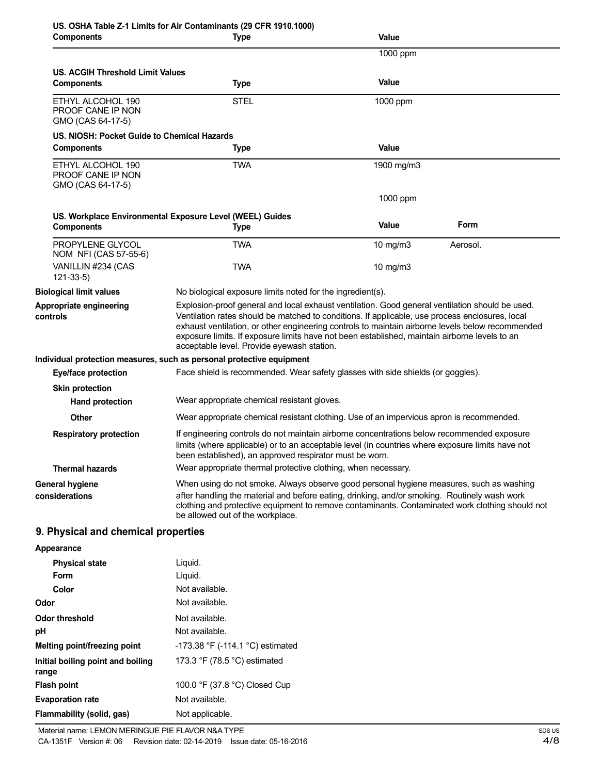| <b>Components</b>                                           | <b>Type</b>                                                                                                                                                                                                                                                                                                                                                                                                                                           | Value             |          |
|-------------------------------------------------------------|-------------------------------------------------------------------------------------------------------------------------------------------------------------------------------------------------------------------------------------------------------------------------------------------------------------------------------------------------------------------------------------------------------------------------------------------------------|-------------------|----------|
|                                                             |                                                                                                                                                                                                                                                                                                                                                                                                                                                       | 1000 ppm          |          |
| US. ACGIH Threshold Limit Values                            |                                                                                                                                                                                                                                                                                                                                                                                                                                                       |                   |          |
| <b>Components</b>                                           | <b>Type</b>                                                                                                                                                                                                                                                                                                                                                                                                                                           | Value             |          |
| ETHYL ALCOHOL 190<br>PROOF CANE IP NON<br>GMO (CAS 64-17-5) | <b>STEL</b>                                                                                                                                                                                                                                                                                                                                                                                                                                           | 1000 ppm          |          |
| US. NIOSH: Pocket Guide to Chemical Hazards                 |                                                                                                                                                                                                                                                                                                                                                                                                                                                       |                   |          |
| <b>Components</b>                                           | <b>Type</b>                                                                                                                                                                                                                                                                                                                                                                                                                                           | Value             |          |
| ETHYL ALCOHOL 190<br>PROOF CANE IP NON<br>GMO (CAS 64-17-5) | <b>TWA</b>                                                                                                                                                                                                                                                                                                                                                                                                                                            | 1900 mg/m3        |          |
|                                                             |                                                                                                                                                                                                                                                                                                                                                                                                                                                       | 1000 ppm          |          |
|                                                             | US. Workplace Environmental Exposure Level (WEEL) Guides                                                                                                                                                                                                                                                                                                                                                                                              |                   |          |
| <b>Components</b>                                           | <b>Type</b>                                                                                                                                                                                                                                                                                                                                                                                                                                           | Value             | Form     |
| PROPYLENE GLYCOL<br>NOM NFI (CAS 57-55-6)                   | TWA                                                                                                                                                                                                                                                                                                                                                                                                                                                   | $10 \text{ mg/m}$ | Aerosol. |
| VANILLIN #234 (CAS<br>$121 - 33 - 5$                        | <b>TWA</b>                                                                                                                                                                                                                                                                                                                                                                                                                                            | 10 mg/m3          |          |
| <b>Biological limit values</b>                              | No biological exposure limits noted for the ingredient(s).                                                                                                                                                                                                                                                                                                                                                                                            |                   |          |
| Appropriate engineering<br>controls                         | Explosion-proof general and local exhaust ventilation. Good general ventilation should be used.<br>Ventilation rates should be matched to conditions. If applicable, use process enclosures, local<br>exhaust ventilation, or other engineering controls to maintain airborne levels below recommended<br>exposure limits. If exposure limits have not been established, maintain airborne levels to an<br>acceptable level. Provide eyewash station. |                   |          |
|                                                             | Individual protection measures, such as personal protective equipment                                                                                                                                                                                                                                                                                                                                                                                 |                   |          |
| Eye/face protection                                         | Face shield is recommended. Wear safety glasses with side shields (or goggles).                                                                                                                                                                                                                                                                                                                                                                       |                   |          |
| <b>Skin protection</b>                                      |                                                                                                                                                                                                                                                                                                                                                                                                                                                       |                   |          |
| <b>Hand protection</b>                                      | Wear appropriate chemical resistant gloves.                                                                                                                                                                                                                                                                                                                                                                                                           |                   |          |
| <b>Other</b>                                                | Wear appropriate chemical resistant clothing. Use of an impervious apron is recommended.                                                                                                                                                                                                                                                                                                                                                              |                   |          |
| <b>Respiratory protection</b>                               | If engineering controls do not maintain airborne concentrations below recommended exposure<br>limits (where applicable) or to an acceptable level (in countries where exposure limits have not<br>been established), an approved respirator must be worn.                                                                                                                                                                                             |                   |          |
| <b>Thermal hazards</b>                                      | Wear appropriate thermal protective clothing, when necessary.                                                                                                                                                                                                                                                                                                                                                                                         |                   |          |
| <b>General hygiene</b>                                      | When using do not smoke. Always observe good personal hygiene measures, such as washing                                                                                                                                                                                                                                                                                                                                                               |                   |          |
| considerations                                              | after handling the material and before eating, drinking, and/or smoking. Routinely wash work<br>clothing and protective equipment to remove contaminants. Contaminated work clothing should not<br>be allowed out of the workplace.                                                                                                                                                                                                                   |                   |          |
| 9. Physical and chemical properties                         |                                                                                                                                                                                                                                                                                                                                                                                                                                                       |                   |          |
| Appearance                                                  |                                                                                                                                                                                                                                                                                                                                                                                                                                                       |                   |          |
| Dhuaisel state                                              | <b>Liguid</b>                                                                                                                                                                                                                                                                                                                                                                                                                                         |                   |          |

| <b>Physical state</b>                      | Liquid.                                        |
|--------------------------------------------|------------------------------------------------|
| Form                                       | Liquid.                                        |
| Color                                      | Not available.                                 |
| Odor                                       | Not available.                                 |
| Odor threshold                             | Not available.                                 |
| рH                                         | Not available.                                 |
| Melting point/freezing point               | -173.38 °F (-114.1 °C) estimated               |
| Initial boiling point and boiling<br>range | 173.3 $\degree$ F (78.5 $\degree$ C) estimated |
| <b>Flash point</b>                         | 100.0 °F (37.8 °C) Closed Cup                  |
| <b>Evaporation rate</b>                    | Not available.                                 |
| Flammability (solid, gas)                  | Not applicable.                                |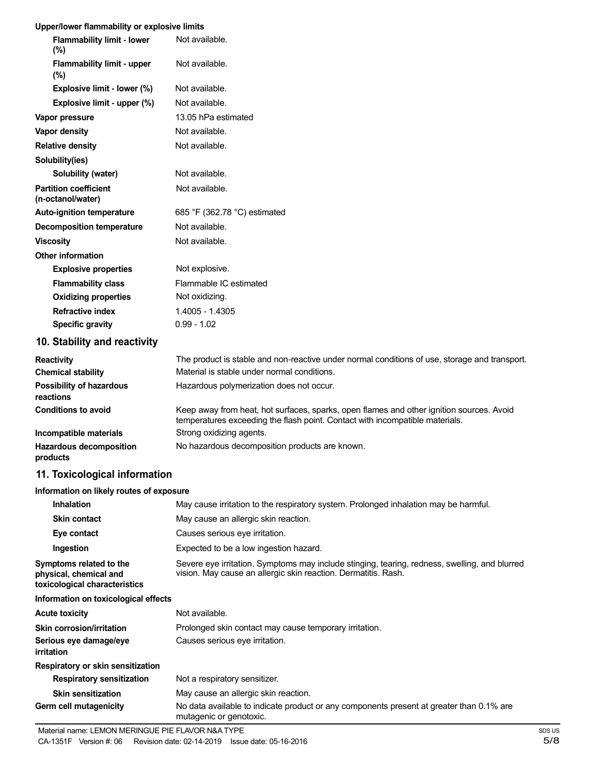### **Upper/lower flammability or explosive limits**

| <b>Flammability limit - lower</b><br>$(\%)$       | Not available.                                                                                                                                                           |
|---------------------------------------------------|--------------------------------------------------------------------------------------------------------------------------------------------------------------------------|
| <b>Flammability limit - upper</b><br>(%)          | Not available.                                                                                                                                                           |
| Explosive limit - lower (%)                       | Not available.                                                                                                                                                           |
| Explosive limit - upper (%)                       | Not available.                                                                                                                                                           |
| Vapor pressure                                    | 13.05 hPa estimated                                                                                                                                                      |
| Vapor density                                     | Not available.                                                                                                                                                           |
| <b>Relative density</b>                           | Not available.                                                                                                                                                           |
| Solubility(ies)                                   |                                                                                                                                                                          |
| Solubility (water)                                | Not available.                                                                                                                                                           |
| <b>Partition coefficient</b><br>(n-octanol/water) | Not available.                                                                                                                                                           |
| <b>Auto-ignition temperature</b>                  | 685 °F (362.78 °C) estimated                                                                                                                                             |
| <b>Decomposition temperature</b>                  | Not available.                                                                                                                                                           |
| <b>Viscosity</b>                                  | Not available.                                                                                                                                                           |
| <b>Other information</b>                          |                                                                                                                                                                          |
| <b>Explosive properties</b>                       | Not explosive.                                                                                                                                                           |
| <b>Flammability class</b>                         | Flammable IC estimated                                                                                                                                                   |
| <b>Oxidizing properties</b>                       | Not oxidizing.                                                                                                                                                           |
| <b>Refractive index</b>                           | 1.4005 - 1.4305                                                                                                                                                          |
| <b>Specific gravity</b>                           | $0.99 - 1.02$                                                                                                                                                            |
| 10. Stability and reactivity                      |                                                                                                                                                                          |
| <b>Reactivity</b>                                 | The product is stable and non-reactive under normal conditions of use, storage and transport.                                                                            |
| <b>Chemical stability</b>                         | Material is stable under normal conditions.                                                                                                                              |
| <b>Possibility of hazardous</b><br>reactions      | Hazardous polymerization does not occur.                                                                                                                                 |
| <b>Conditions to avoid</b>                        | Keep away from heat, hot surfaces, sparks, open flames and other ignition sources. Avoid<br>temperatures exceeding the flash point. Contact with incompatible materials. |
| Incompatible materials                            | Strong oxidizing agents.                                                                                                                                                 |
| <b>Hazardous decomposition</b><br>products        | No hazardous decomposition products are known.                                                                                                                           |
| 11. Toxicological information                     |                                                                                                                                                                          |
| Information on likely routes of exposure          |                                                                                                                                                                          |
| <b>Inhalation</b>                                 | May cause irritation to the respiratory system. Prolonged inhalation may be harmful.                                                                                     |

| <u>IIIIIdidlion</u>                                                                | May cause imitation to the respiratory system. Profonged imital attornmay be naminul.                                                                           |
|------------------------------------------------------------------------------------|-----------------------------------------------------------------------------------------------------------------------------------------------------------------|
| <b>Skin contact</b>                                                                | May cause an allergic skin reaction.                                                                                                                            |
| Eye contact                                                                        | Causes serious eye irritation.                                                                                                                                  |
| Ingestion                                                                          | Expected to be a low ingestion hazard.                                                                                                                          |
| Symptoms related to the<br>physical, chemical and<br>toxicological characteristics | Severe eye irritation. Symptoms may include stinging, tearing, redness, swelling, and blurred<br>vision. May cause an allergic skin reaction. Dermatitis. Rash. |
| Information on toxicological effects                                               |                                                                                                                                                                 |
| Acute toxicity                                                                     | Not available.                                                                                                                                                  |
| <b>Skin corrosion/irritation</b>                                                   | Prolonged skin contact may cause temporary irritation.                                                                                                          |
| Serious eye damage/eye<br>irritation                                               | Causes serious eye irritation.                                                                                                                                  |
| Respiratory or skin sensitization                                                  |                                                                                                                                                                 |
| <b>Respiratory sensitization</b>                                                   | Not a respiratory sensitizer.                                                                                                                                   |
| <b>Skin sensitization</b>                                                          | May cause an allergic skin reaction.                                                                                                                            |
| Germ cell mutagenicity                                                             | No data available to indicate product or any components present at greater than 0.1% are<br>mutagenic or genotoxic.                                             |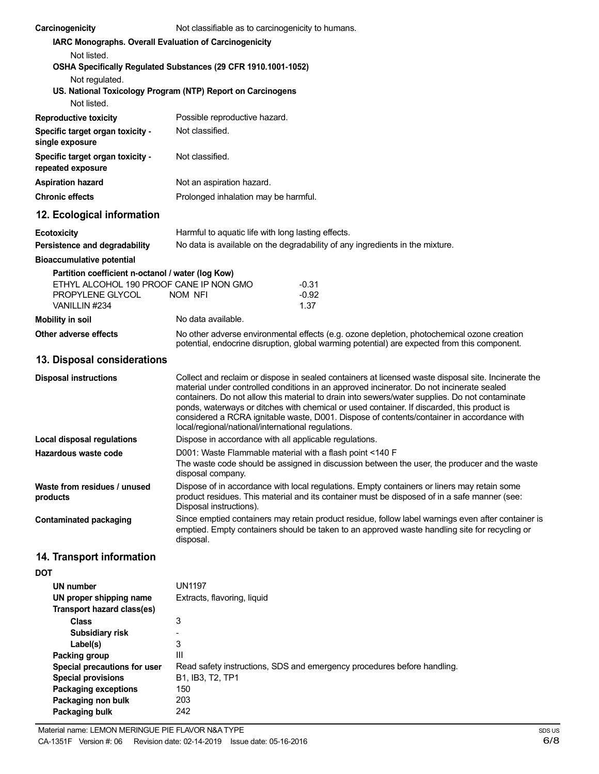| Carcinogenicity                                                                                                                         | Not classifiable as to carcinogenicity to humans.                                                                                                                                                                                                                                                                                                                                                                                                                                                                                                   |                                                                                                                                                                                            |
|-----------------------------------------------------------------------------------------------------------------------------------------|-----------------------------------------------------------------------------------------------------------------------------------------------------------------------------------------------------------------------------------------------------------------------------------------------------------------------------------------------------------------------------------------------------------------------------------------------------------------------------------------------------------------------------------------------------|--------------------------------------------------------------------------------------------------------------------------------------------------------------------------------------------|
| IARC Monographs. Overall Evaluation of Carcinogenicity<br>Not listed.<br>OSHA Specifically Regulated Substances (29 CFR 1910.1001-1052) |                                                                                                                                                                                                                                                                                                                                                                                                                                                                                                                                                     |                                                                                                                                                                                            |
| Not regulated.                                                                                                                          |                                                                                                                                                                                                                                                                                                                                                                                                                                                                                                                                                     |                                                                                                                                                                                            |
| US. National Toxicology Program (NTP) Report on Carcinogens<br>Not listed.                                                              |                                                                                                                                                                                                                                                                                                                                                                                                                                                                                                                                                     |                                                                                                                                                                                            |
| <b>Reproductive toxicity</b>                                                                                                            | Possible reproductive hazard.                                                                                                                                                                                                                                                                                                                                                                                                                                                                                                                       |                                                                                                                                                                                            |
| Specific target organ toxicity -<br>single exposure                                                                                     | Not classified.                                                                                                                                                                                                                                                                                                                                                                                                                                                                                                                                     |                                                                                                                                                                                            |
| Specific target organ toxicity -<br>repeated exposure                                                                                   | Not classified.                                                                                                                                                                                                                                                                                                                                                                                                                                                                                                                                     |                                                                                                                                                                                            |
| <b>Aspiration hazard</b>                                                                                                                | Not an aspiration hazard.                                                                                                                                                                                                                                                                                                                                                                                                                                                                                                                           |                                                                                                                                                                                            |
| <b>Chronic effects</b>                                                                                                                  | Prolonged inhalation may be harmful.                                                                                                                                                                                                                                                                                                                                                                                                                                                                                                                |                                                                                                                                                                                            |
| 12. Ecological information                                                                                                              |                                                                                                                                                                                                                                                                                                                                                                                                                                                                                                                                                     |                                                                                                                                                                                            |
| <b>Ecotoxicity</b>                                                                                                                      | Harmful to aquatic life with long lasting effects.                                                                                                                                                                                                                                                                                                                                                                                                                                                                                                  |                                                                                                                                                                                            |
| Persistence and degradability                                                                                                           |                                                                                                                                                                                                                                                                                                                                                                                                                                                                                                                                                     | No data is available on the degradability of any ingredients in the mixture.                                                                                                               |
| <b>Bioaccumulative potential</b>                                                                                                        |                                                                                                                                                                                                                                                                                                                                                                                                                                                                                                                                                     |                                                                                                                                                                                            |
| Partition coefficient n-octanol / water (log Kow)                                                                                       |                                                                                                                                                                                                                                                                                                                                                                                                                                                                                                                                                     |                                                                                                                                                                                            |
| ETHYL ALCOHOL 190 PROOF CANE IP NON GMO<br>PROPYLENE GLYCOL<br>VANILLIN #234                                                            | NOM NFI                                                                                                                                                                                                                                                                                                                                                                                                                                                                                                                                             | $-0.31$<br>$-0.92$<br>1.37                                                                                                                                                                 |
| <b>Mobility in soil</b>                                                                                                                 | No data available.                                                                                                                                                                                                                                                                                                                                                                                                                                                                                                                                  |                                                                                                                                                                                            |
| Other adverse effects                                                                                                                   |                                                                                                                                                                                                                                                                                                                                                                                                                                                                                                                                                     | No other adverse environmental effects (e.g. ozone depletion, photochemical ozone creation<br>potential, endocrine disruption, global warming potential) are expected from this component. |
| 13. Disposal considerations                                                                                                             |                                                                                                                                                                                                                                                                                                                                                                                                                                                                                                                                                     |                                                                                                                                                                                            |
| <b>Disposal instructions</b>                                                                                                            | Collect and reclaim or dispose in sealed containers at licensed waste disposal site. Incinerate the<br>material under controlled conditions in an approved incinerator. Do not incinerate sealed<br>containers. Do not allow this material to drain into sewers/water supplies. Do not contaminate<br>ponds, waterways or ditches with chemical or used container. If discarded, this product is<br>considered a RCRA ignitable waste, D001. Dispose of contents/container in accordance with<br>local/regional/national/international regulations. |                                                                                                                                                                                            |
| <b>Local disposal regulations</b>                                                                                                       | Dispose in accordance with all applicable regulations.                                                                                                                                                                                                                                                                                                                                                                                                                                                                                              |                                                                                                                                                                                            |
| Hazardous waste code                                                                                                                    | D001: Waste Flammable material with a flash point <140 F<br>The waste code should be assigned in discussion between the user, the producer and the waste<br>disposal company.                                                                                                                                                                                                                                                                                                                                                                       |                                                                                                                                                                                            |
| Waste from residues / unused<br>products                                                                                                | Dispose of in accordance with local regulations. Empty containers or liners may retain some<br>product residues. This material and its container must be disposed of in a safe manner (see:<br>Disposal instructions).                                                                                                                                                                                                                                                                                                                              |                                                                                                                                                                                            |
| <b>Contaminated packaging</b>                                                                                                           | Since emptied containers may retain product residue, follow label warnings even after container is<br>emptied. Empty containers should be taken to an approved waste handling site for recycling or<br>disposal.                                                                                                                                                                                                                                                                                                                                    |                                                                                                                                                                                            |
| 14. Transport information                                                                                                               |                                                                                                                                                                                                                                                                                                                                                                                                                                                                                                                                                     |                                                                                                                                                                                            |
| <b>DOT</b>                                                                                                                              |                                                                                                                                                                                                                                                                                                                                                                                                                                                                                                                                                     |                                                                                                                                                                                            |
| UN number                                                                                                                               | <b>UN1197</b>                                                                                                                                                                                                                                                                                                                                                                                                                                                                                                                                       |                                                                                                                                                                                            |
| UN proper shipping name                                                                                                                 | Extracts, flavoring, liquid                                                                                                                                                                                                                                                                                                                                                                                                                                                                                                                         |                                                                                                                                                                                            |
| Transport hazard class(es)                                                                                                              |                                                                                                                                                                                                                                                                                                                                                                                                                                                                                                                                                     |                                                                                                                                                                                            |
| <b>Class</b>                                                                                                                            | 3                                                                                                                                                                                                                                                                                                                                                                                                                                                                                                                                                   |                                                                                                                                                                                            |
| <b>Subsidiary risk</b>                                                                                                                  |                                                                                                                                                                                                                                                                                                                                                                                                                                                                                                                                                     |                                                                                                                                                                                            |
| Label(s)                                                                                                                                | 3                                                                                                                                                                                                                                                                                                                                                                                                                                                                                                                                                   |                                                                                                                                                                                            |
| Packing group                                                                                                                           | III                                                                                                                                                                                                                                                                                                                                                                                                                                                                                                                                                 |                                                                                                                                                                                            |
| Special precautions for user                                                                                                            |                                                                                                                                                                                                                                                                                                                                                                                                                                                                                                                                                     | Read safety instructions, SDS and emergency procedures before handling.                                                                                                                    |
| <b>Special provisions</b>                                                                                                               | B1, IB3, T2, TP1                                                                                                                                                                                                                                                                                                                                                                                                                                                                                                                                    |                                                                                                                                                                                            |
| <b>Packaging exceptions</b>                                                                                                             | 150                                                                                                                                                                                                                                                                                                                                                                                                                                                                                                                                                 |                                                                                                                                                                                            |
| Packaging non bulk                                                                                                                      | 203                                                                                                                                                                                                                                                                                                                                                                                                                                                                                                                                                 |                                                                                                                                                                                            |
| Packaging bulk                                                                                                                          | 242                                                                                                                                                                                                                                                                                                                                                                                                                                                                                                                                                 |                                                                                                                                                                                            |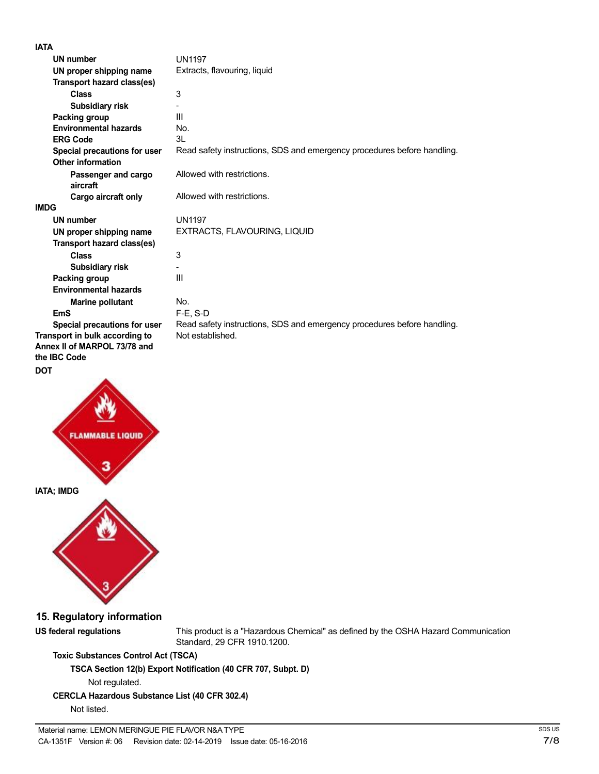**IATA**

| IAIA                                                                                  |                                                                         |
|---------------------------------------------------------------------------------------|-------------------------------------------------------------------------|
| <b>UN number</b>                                                                      | <b>UN1197</b>                                                           |
| UN proper shipping name                                                               | Extracts, flavouring, liquid                                            |
| Transport hazard class(es)                                                            |                                                                         |
| <b>Class</b>                                                                          | 3                                                                       |
| <b>Subsidiary risk</b>                                                                |                                                                         |
| Packing group                                                                         | Ш                                                                       |
| <b>Environmental hazards</b>                                                          | No.                                                                     |
| <b>ERG Code</b>                                                                       | 31                                                                      |
| Special precautions for user<br><b>Other information</b>                              | Read safety instructions, SDS and emergency procedures before handling. |
| Passenger and cargo<br>aircraft                                                       | Allowed with restrictions.                                              |
| Cargo aircraft only                                                                   | Allowed with restrictions.                                              |
| <b>IMDG</b>                                                                           |                                                                         |
| <b>UN number</b>                                                                      | <b>UN1197</b>                                                           |
| UN proper shipping name                                                               | EXTRACTS, FLAVOURING, LIQUID                                            |
| Transport hazard class(es)                                                            |                                                                         |
| <b>Class</b>                                                                          | 3                                                                       |
| <b>Subsidiary risk</b>                                                                |                                                                         |
| Packing group                                                                         | Ш                                                                       |
| <b>Environmental hazards</b>                                                          |                                                                         |
| Marine pollutant                                                                      | No.                                                                     |
| <b>EmS</b>                                                                            | $F-E$ , S-D                                                             |
| Special precautions for user                                                          | Read safety instructions, SDS and emergency procedures before handling. |
| Transport in bulk according to<br>Annex II of MARPOL 73/78 and<br>the <b>IBC</b> Code | Not established.                                                        |

### **DOT**



## **15. Regulatory information**

**US federal regulations** This product is a "Hazardous Chemical" as defined by the OSHA Hazard Communication Standard, 29 CFR 1910.1200.

## **Toxic Substances Control Act (TSCA)**

**TSCA Section 12(b) Export Notification (40 CFR 707, Subpt. D)**

Not regulated.

## **CERCLA Hazardous Substance List (40 CFR 302.4)**

Not listed.